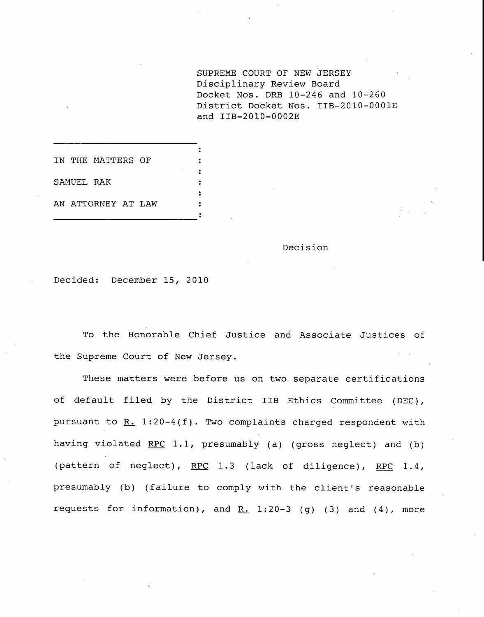SUPREME COURT OF NEW JERSEY Disciplinary Review Board Docket Nos. DRB 10-246 and 10-260 District Docket Nos. IIB-2010-0001E and IIB-2010-0002E

IN THE MATTERS OF SAMUEL RAK AN ATTORNEY AT LAW

Decision

Decided: December 15, 2010

To the Honorable Chief Justice and Associate Justices of the Supreme Court of New Jersey.

These matters were before us on two separate certifications of default filed by the District IIB Ethics Committee (DEC), pursuant to  $R. 1:20-4(f)$ . Two complaints charged respondent with having violated  $RPC$  1.1, presumably (a) (gross neglect) and (b) (pattern of neglect), RPC 1.3 (lack of diligence), RPC 1.4, presumably (b) (failure to comply with the client's reasonable requests for information), and  $R. 1:20-3$  (g) (3) and (4), more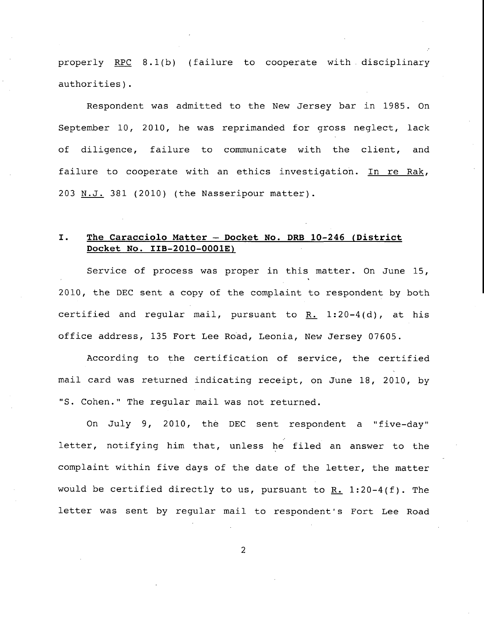properly RPC 8.1(b) (failure to cooperate with. disciplinary authorities).

Respondent was admitted to the New Jersey bar in 1985. On September i0, 2010, he was reprimanded for gross neglect, lack of diligence, failure to communicate with the client, and failure to cooperate with an ethics investigation. In re Rak, 203 N.J. 381 (2010) (the Nasseripour matter).

## I. The Caracciolo Matter - Docket No. DRB 10-246 (District **Docket No. IIB-2010-0001E)**

Service of process was proper in this matter. On June 15, 2010, the DEC sent a copy of the complaint to respondent by both certified and regular mail, pursuant to R. 1:20-4(d), at his office address, 135 Fort Lee Road, Leonia, New Jersey 07605.

According to the certification of service, the certified mail card was returned indicating receipt, on June 18, 2010, by "S. Cohen." The regular mail was not returned.

On July 9, 2010, the DEC sent respondent a "five-day" letter, notifying him that, unless he filed an answer to the complaint within five days of the date of the letter, the matter would be certified directly to us, pursuant to R. 1:20-4(f). The letter was sent by regular mail to respondent's Fort Lee Road

 $\overline{2}$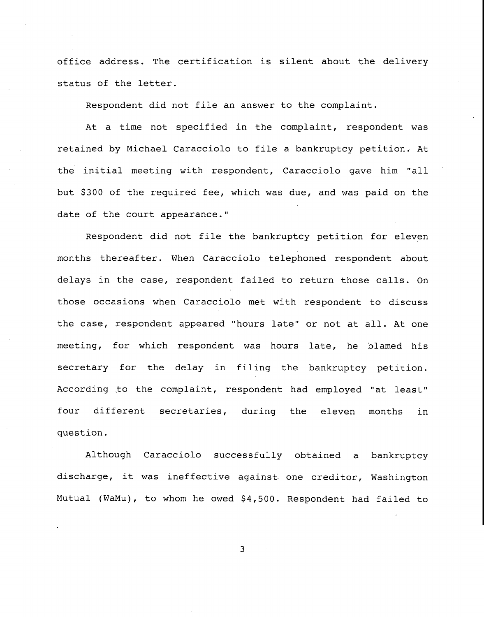office address. The certification is silent about the delivery status of the letter.

Respondent did not file an answer to the complaint.

At a time not specified in the complaint, respondent was retained by Michael Caracciolo to file a bankruptcy petition. At the initial meeting with respondent, Caracciolo gave him "all but \$300 of the required fee, which was due, and was paid on the date of the court appearance."

Respondent did not file the bankruptcy petition for eleven months thereafter. When Caracciolo telephoned respondent about delays in the case, respondent failed to return those calls. On those occasions when Caracciolo met with respondent to discuss the case, respondent appeared "hours late" or not at all. At one meeting, for which respondent was hours late, he blamed his secretary for the delay in filing the bankruptcy petition. According to the complaint, respondent had employed "at least" four different secretaries, during the eleven months in question.

Although Caracciolo successfully obtained a bankruptcy discharge, it was ineffective against one creditor, Washington Mutual (WaMu), to whom he owed \$4,500. Respondent had failed to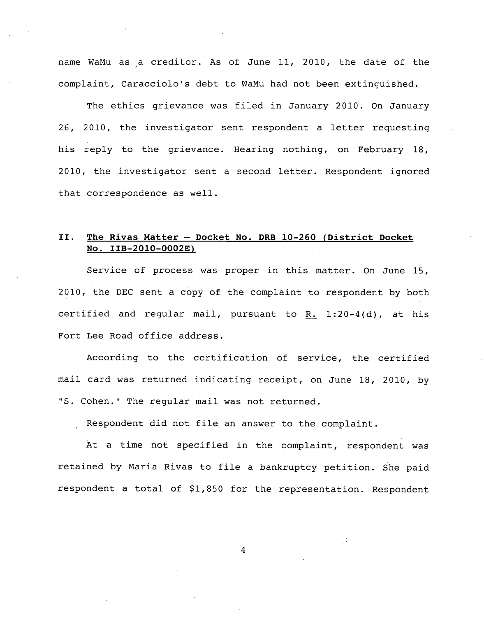name WaMu as a creditor. As of June 11, 2010, the date of the complaint, Caracciolo's debt to WaMu had not been extinguished.

The ethics grievance was filed in January 2010. On January 26, 2010, the investigator sent respondent a letter requesting his reply to the grievance. Hearing nothing, on February 18, 2010, the investigator sent a second letter. Respondent ignored that correspondence as well.

## II. The Rivas Matter - Docket No. DRB 10-260 (District Docket **No. IIB-2010-0002E)**

Service of process was proper in this matter. On June 15, 2010, the DEC sent a copy of the complaint to respondent by both certified and regular mail, pursuant to R. 1:20-4(d), at his Fort Lee Road office address.

According to the certification of service, the certified mail card was returned indicating receipt, on June 18, 2010, by "S. Cohen." The regular mail was not returned.

Respondent did not file an answer to the complaint.

At a time not specified in the complaint, respondent was retained by Maria Rivas to file a bankruptcy petition. She paid respondent a total of \$1,850 for the representation. Respondent

 $\overline{4}$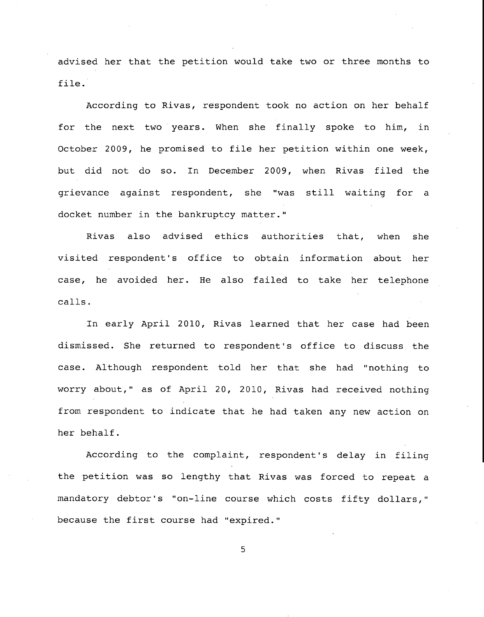advised her that the petition would take two or three months to file.

According to Rivas, respondent took no action on her behalf for the next two years. When she finally spoke to him, in October 2009, he promised to file her petition within one week, but did not do so. In December 2009, when Rivas filed the grievance against respondent, she "was still waiting for a docket number in the bankruptcy matter."

Rivas also advised ethics authorities that, when she visited respondent's office to obtain information about her case, he avoided her. He also failed to take her telephone calls.

In early April 2010, Rivas learned that her case had been dismissed. She returned to respondent's office to discuss the case. Although respondent told her that she had "nothing to worry about," as of April 20, 2010, Rivas had received nothing from respondent to indicate that he had taken any new action on her behalf.

According to the complaint, respondent's delay in filing the petition was so lengthy that Rivas was forced to repeat a mandatory debtor's "on-line course which costs fifty dollars," because the first course had "expired."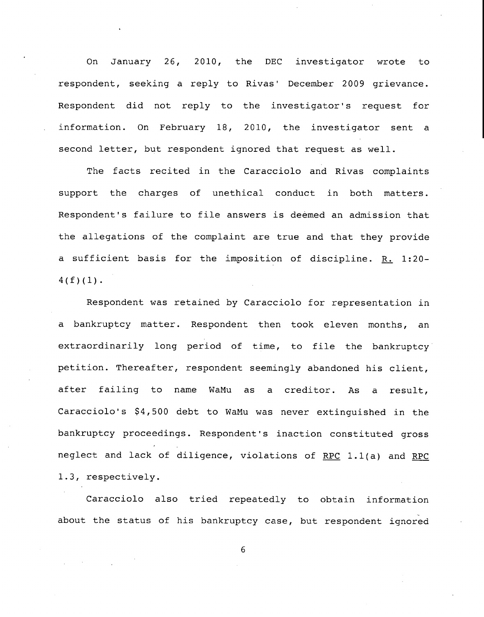On January 26, 2010, the DEC investigator wrote to respondent, seeking a reply to Rivas' December 2009 grievance. Respondent did not reply to the investigator's request for information. On February 18, 2010, the investigator sent a second letter, but respondent ignored that request as well.

The facts recited in the Caracciolo and Rivas complaints support the charges of unethical conduct in both matters. Respondent's failure to file answers is deemed an admission that the allegations of the complaint are true and that they provide a sufficient basis for the imposition of discipline. R. 1:20-  $4(f)(1)$ .

Respondent was retained by Caracciolo for representation in a bankruptcy matter. Respondent then took eleven months, an extraordinarily long period of time, to file the bankruptcy petition. Thereafter, respondent seemingly abandoned his client, after failing to name WaMu as a creditor. As a result, Caracciolo's \$4,500 debt to WaMu was never extinguished in the bankruptcy proceedings. Respondent's inaction constituted gross neglect and lack of diligence, violations of RPC 1.1(a) and RPC 1.3, respectively.

Caracciolo also tried repeatedly to obtain information about the status of his bankruptcy case, but respondent ignored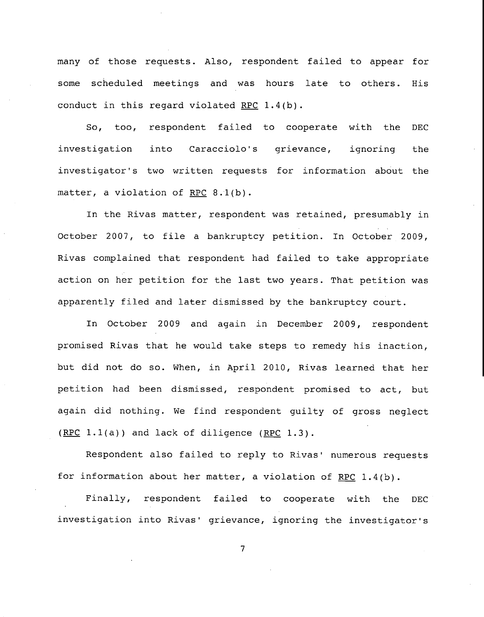many of those requests. Also, respondent failed to appear for some scheduled meetings and was hours late to others. His conduct in this regard violated RPC 1.4(b).

So, too, respondent failed to cooperate with the D investigation into Caracciolo's grievance, ignoring the investigator's two written requests for information about the matter, a violation of RPC 8.l(b).

In the Rivas matter, respondent was retained, presumably in October 2007, to file a bankruptcy petition. In October 2009, Rivas complained that respondent had failed to take appropriate action on her petition for the last two years. That petition was apparently filed and later dismissed by the bankruptcy court.

In October 2009 and again in December 2009, respondent promised Rivas that he would take steps to remedy his inaction, but did not do so. When, in April 2010, Rivas learned that her petition had been dismissed, respondent promised to act, but again did nothing. We find respondent guilty of gross neglect  $(RPC 1.1(a))$  and lack of diligence  $(RPC 1.3)$ .

Respondent also failed to reply to Rivas' numerous requests for information about her matter, a violation of RPC 1.4(b).

Finally, respondent failed to cooperate with the DEC investigation into Rivas' grievance, ignoring the investigator's

 $\overline{7}$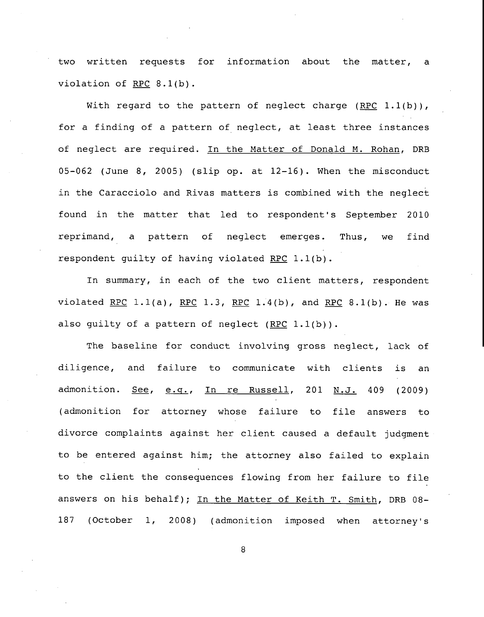two written requests for information about the matter, a violation of RPC 8.1(b).

With regard to the pattern of neglect charge (RPC  $1.1(b)$ ), for a finding of a pattern of neglect, at least three instances of neglect are required. In the Matter of Donald M. Rohan, DRB 05-062 (June 8, 2005) (slip op. at 12-16). When the misconduct in the Caracciolo and Rivas matters is combined with the neglect found in the matter that led to respondent's September 2010 reprimand, a pattern of neglect emerges. Thus, we find respondent guilty of having violated RPC 1.1(b).

In summary, in each of the two client matters, respondent violated RPC 1.1(a), RPC 1.3, RPC 1.4(b), and RPC 8.1(b). He was also guilty of a pattern of neglect  $(RPC 1.1(b))$ .

The baseline for conduct involving gross neglect, lack of diligence, and failure to communicate with clients is an admonition. <u>See, e.g., In re Russell</u>, 201 <u>N.J.</u> 409 (2009) (admonition for attorney whose failure to file answers to divorce complaints against her client caused a default judgment to be entered against him; the attorney also failed to explain to the client the consequences flowing from her failure to file answers on his behalf); In the Matter of Keith T. Smith, DRB 08- 187 (October i, 2008) (admonition imposed when attorney's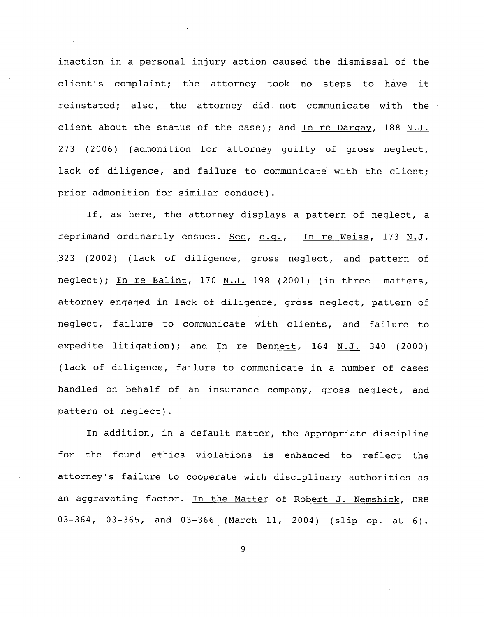inaction in a personal injury action caused the dismissal of the client's complaint; the attorney took no steps to have it reinstated; also, the attorney did. not communicate with the client about the status of the case); and In re Darqay, 188 N.J. 273 (2006) (admonition for attorney guilty of gross neglect, lack of diligence, and failure to communicate with the client; prior admonition for similar conduct).

If, as here, the attorney displays a pattern of neglect, a reprimand ordinarily ensues. See, e.q., In re Weiss, 173 N.J. 323 (2002) (lack of diligence, gross neglect, and pattern of neglect); In re Balint, 170 N.J. 198 (2001) (in three matters, attorney engaged in lack of diligence, gross neglect, pattern of neglect, failure to communicate with clients, and failure to expedite litigation); and  $In$  re Bennett, 164 N.J. 340 (2000) (lack of diligence, failure to communicate in a number of cases handled on behalf of an insurance company, gross neglect, and pattern of neglect).

In addition, in a default matter, the appropriate discipline for the found ethics violations is enhanced to reflect the attorney's failure to cooperate with disciplinary authorities as an aggravating factor. In the Matter of Robert J. Nemshick, DRB 03-364, 03-365, and 03-366 (March 11, 2004) (slip op. at 6).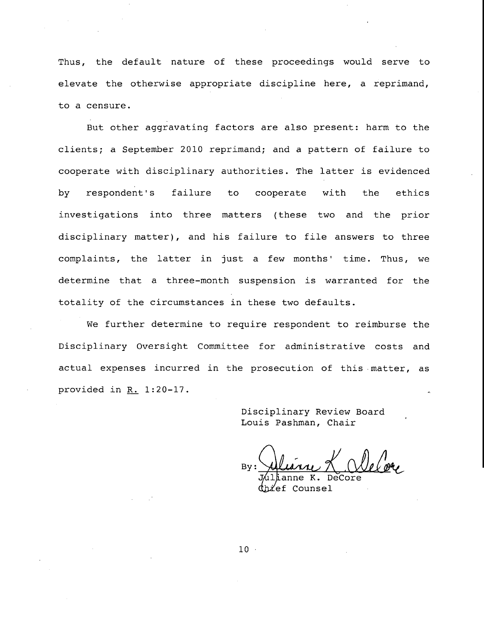Thus, the default nature of these proceedings would serve to elevate the otherwise appropriate discipline here, a reprimand, to a censure.

But other aggravating factors are also present: harm to the clients; a September 2010 reprimand; and a pattern of failure to cooperate with disciplinary authorities. The latter is evidenced by respondent's failure to cooperate with the ethics investigations into three matters (these two and the prior disciplinary matter), and his failure to file answers to three complaints, the latter in just a few months' time. Thus, we determine that a three-month suspension is warranted for the totality of the circumstances in these two defaults.

We further determine to require respondent to reimburse the Disciplinary Oversight Committee for administrative costs and actual expenses incurred in the prosecution of this matter, as provided in R. 1:20-17.

> **Disciplinary Review Board** Louis Pashman, Chair

By:

 $K_{\bullet}$  $^{\prime}$ ef Counsel

 $10 -$